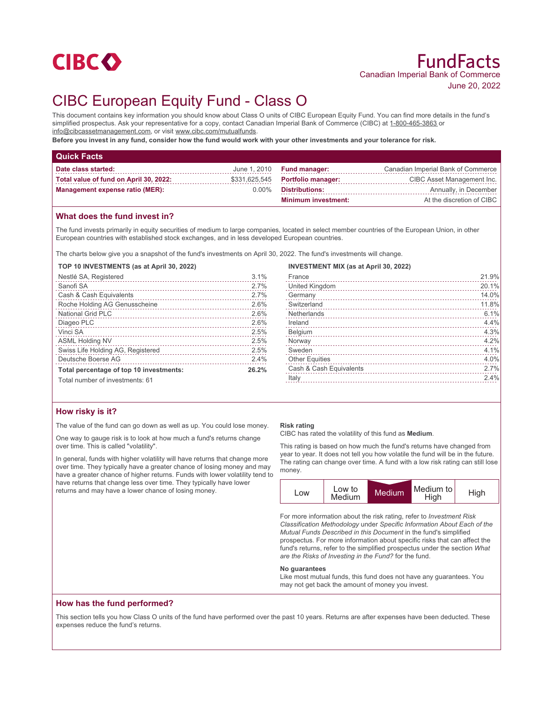

# CIBC European Equity Fund - Class O

This document contains key information you should know about Class O units of CIBC European Equity Fund. You can find more details in the fund's simplified prospectus. Ask your representative for a copy, contact Canadian Imperial Bank of Commerce (CIBC) at 1-800-465-3863 or info@cibcassetmanagement.com, or visit www.cibc.com/mutualfunds.

**Before you invest in any fund, consider how the fund would work with your other investments and your tolerance for risk.**

| <b>Quick Facts</b>                     |          |                                  |                                    |
|----------------------------------------|----------|----------------------------------|------------------------------------|
| Date class started:                    |          | June $1,2010$ Fund manager:      | Canadian Imperial Bank of Commerce |
| Total value of fund on April 30, 2022: |          | \$331,625,545 Portfolio manager: | CIBC Asset Management Inc.         |
| <b>Management expense ratio (MER):</b> | $0.00\%$ | Distributions:                   | Annually, in December              |
|                                        |          | <b>Minimum investment:</b>       | At the discretion of CIBC          |

## **What does the fund invest in?**

The fund invests primarily in equity securities of medium to large companies, located in select member countries of the European Union, in other European countries with established stock exchanges, and in less developed European countries.

The charts below give you a snapshot of the fund's investments on April 30, 2022. The fund's investments will change.

**TOP 10 INVESTMENTS (as at April 30, 2022)**

| Nestlé SA, Registered                   | 3.1%  |
|-----------------------------------------|-------|
| Sanofi SA                               | 2.7%  |
| Cash & Cash Equivalents                 | 2.7%  |
| Roche Holding AG Genusscheine           | 2.6%  |
| National Grid PLC                       | 2.6%  |
| Diageo PLC                              | 2.6%  |
| Vinci SA                                | 2.5%  |
| <b>ASML Holding NV</b>                  | 2.5%  |
| Swiss Life Holding AG, Registered       | 2.5%  |
| Deutsche Boerse AG                      | 2.4%  |
| Total percentage of top 10 investments: | 26.2% |
| Total number of investments: 61         |       |

## **How risky is it?**

The value of the fund can go down as well as up. You could lose money.

One way to gauge risk is to look at how much a fund's returns change over time. This is called "volatility".

In general, funds with higher volatility will have returns that change more over time. They typically have a greater chance of losing money and may have a greater chance of higher returns. Funds with lower volatility tend to have returns that change less over time. They typically have lower returns and may have a lower chance of losing money.

#### **INVESTMENT MIX (as at April 30, 2022)**

| France                  | 21.9% |
|-------------------------|-------|
| United Kingdom          | 20.1% |
| Germany                 | 14.0% |
| Switzerland             | 11.8% |
| <b>Netherlands</b>      | 6.1%  |
| Ireland                 | 4.4%  |
| Belgium                 | 4.3%  |
| Norway                  | 4.2%  |
| Sweden                  | 4.1%  |
| <b>Other Equities</b>   | 4.0%  |
| Cash & Cash Equivalents | 2.7%  |
| Italy                   | 2.4%  |
|                         |       |

#### **Risk rating**

CIBC has rated the volatility of this fund as **Medium**.

This rating is based on how much the fund's returns have changed from year to year. It does not tell you how volatile the fund will be in the future. The rating can change over time. A fund with a low risk rating can still lose money.



For more information about the risk rating, refer to *Investment Risk Classification Methodology* under *Specific Information About Each of the Mutual Funds Described in this Document* in the fund's simplified prospectus. For more information about specific risks that can affect the fund's returns, refer to the simplified prospectus under the section *What are the Risks of Investing in the Fund?* for the fund.

#### **No guarantees**

Like most mutual funds, this fund does not have any guarantees. You may not get back the amount of money you invest.

### **How has the fund performed?**

This section tells you how Class O units of the fund have performed over the past 10 years. Returns are after expenses have been deducted. These expenses reduce the fund's returns.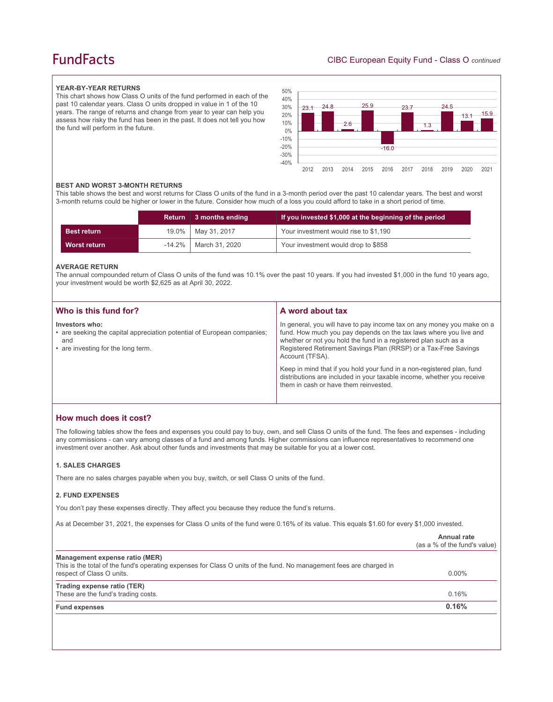## **FundFacts**

#### **YEAR-BY-YEAR RETURNS**

This chart shows how Class O units of the fund performed in each of the past 10 calendar years. Class O units dropped in value in 1 of the 10 years. The range of returns and change from year to year can help you assess how risky the fund has been in the past. It does not tell you how the fund will perform in the future.



#### **BEST AND WORST 3-MONTH RETURNS**

This table shows the best and worst returns for Class O units of the fund in a 3-month period over the past 10 calendar years. The best and worst 3-month returns could be higher or lower in the future. Consider how much of a loss you could afford to take in a short period of time.

|                     | <b>Return</b> | 3 months ending | If you invested \$1,000 at the beginning of the period |
|---------------------|---------------|-----------------|--------------------------------------------------------|
| <b>Best return</b>  | $19.0\%$      | May 31, 2017    | Your investment would rise to \$1,190                  |
| <b>Worst return</b> | $-14.2\%$     | March 31, 2020  | Your investment would drop to \$858                    |

#### **AVERAGE RETURN**

The annual compounded return of Class O units of the fund was 10.1% over the past 10 years. If you had invested \$1,000 in the fund 10 years ago, your investment would be worth \$2,625 as at April 30, 2022.

| Who is this fund for?                                                                                                                  | A word about tax                                                                                                                                                                                                                                                                                     |
|----------------------------------------------------------------------------------------------------------------------------------------|------------------------------------------------------------------------------------------------------------------------------------------------------------------------------------------------------------------------------------------------------------------------------------------------------|
| Investors who:<br>• are seeking the capital appreciation potential of European companies;<br>and<br>• are investing for the long term. | In general, you will have to pay income tax on any money you make on a<br>fund. How much you pay depends on the tax laws where you live and<br>whether or not you hold the fund in a registered plan such as a<br>Registered Retirement Savings Plan (RRSP) or a Tax-Free Savings<br>Account (TFSA). |
|                                                                                                                                        | Keep in mind that if you hold your fund in a non-registered plan, fund<br>distributions are included in your taxable income, whether you receive<br>them in cash or have them reinvested.                                                                                                            |

## **How much does it cost?**

The following tables show the fees and expenses you could pay to buy, own, and sell Class O units of the fund. The fees and expenses - including any commissions - can vary among classes of a fund and among funds. Higher commissions can influence representatives to recommend one investment over another. Ask about other funds and investments that may be suitable for you at a lower cost.

#### **1. SALES CHARGES**

There are no sales charges payable when you buy, switch, or sell Class O units of the fund.

#### **2. FUND EXPENSES**

You don't pay these expenses directly. They affect you because they reduce the fund's returns.

As at December 31, 2021, the expenses for Class O units of the fund were 0.16% of its value. This equals \$1.60 for every \$1,000 invested.

|                                                                                                                                                                                    | Annual rate<br>(as a % of the fund's value) |
|------------------------------------------------------------------------------------------------------------------------------------------------------------------------------------|---------------------------------------------|
| Management expense ratio (MER)<br>This is the total of the fund's operating expenses for Class O units of the fund. No management fees are charged in<br>respect of Class O units. | $0.00\%$                                    |
| Trading expense ratio (TER)<br>These are the fund's trading costs.                                                                                                                 | 0.16%                                       |
| <b>Fund expenses</b>                                                                                                                                                               | 0.16%                                       |